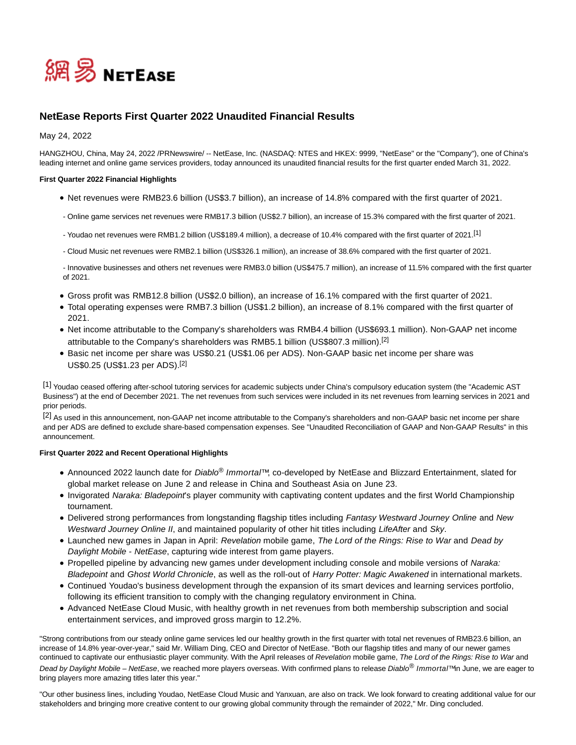

# **NetEase Reports First Quarter 2022 Unaudited Financial Results**

May 24, 2022

HANGZHOU, China, May 24, 2022 /PRNewswire/ -- NetEase, Inc. (NASDAQ: NTES and HKEX: 9999, "NetEase" or the "Company"), one of China's leading internet and online game services providers, today announced its unaudited financial results for the first quarter ended March 31, 2022.

## **First Quarter 2022 Financial Highlights**

- Net revenues were RMB23.6 billion (US\$3.7 billion), an increase of 14.8% compared with the first quarter of 2021.
- Online game services net revenues were RMB17.3 billion (US\$2.7 billion), an increase of 15.3% compared with the first quarter of 2021.
- Youdao net revenues were RMB1.2 billion (US\$189.4 million), a decrease of 10.4% compared with the first quarter of 2021.<sup>[1]</sup>
- Cloud Music net revenues were RMB2.1 billion (US\$326.1 million), an increase of 38.6% compared with the first quarter of 2021.

- Innovative businesses and others net revenues were RMB3.0 billion (US\$475.7 million), an increase of 11.5% compared with the first quarter of 2021.

- Gross profit was RMB12.8 billion (US\$2.0 billion), an increase of 16.1% compared with the first quarter of 2021.
- Total operating expenses were RMB7.3 billion (US\$1.2 billion), an increase of 8.1% compared with the first quarter of 2021.
- Net income attributable to the Company's shareholders was RMB4.4 billion (US\$693.1 million). Non-GAAP net income attributable to the Company's shareholders was RMB5.1 billion (US\$807.3 million).[2]
- **•** Basic net income per share was US\$0.21 (US\$1.06 per ADS). Non-GAAP basic net income per share was US\$0.25 (US\$1.23 per ADS).[2]

[1] Youdao ceased offering after-school tutoring services for academic subjects under China's compulsory education system (the "Academic AST Business") at the end of December 2021. The net revenues from such services were included in its net revenues from learning services in 2021 and prior periods.

<sup>[2]</sup> As used in this announcement, non-GAAP net income attributable to the Company's shareholders and non-GAAP basic net income per share and per ADS are defined to exclude share-based compensation expenses. See "Unaudited Reconciliation of GAAP and Non-GAAP Results" in this announcement.

# **First Quarter 2022 and Recent Operational Highlights**

- Announced 2022 launch date for *Diablo<sup>®</sup> Immortal™*, co-developed by NetEase and Blizzard Entertainment, slated for global market release on June 2 and release in China and Southeast Asia on June 23.
- Invigorated Naraka: Bladepoint's player community with captivating content updates and the first World Championship tournament.
- Delivered strong performances from longstanding flagship titles including Fantasy Westward Journey Online and New Westward Journey Online II, and maintained popularity of other hit titles including LifeAfter and Sky.
- Launched new games in Japan in April: Revelation mobile game, The Lord of the Rings: Rise to War and Dead by Daylight Mobile - NetEase, capturing wide interest from game players.
- Propelled pipeline by advancing new games under development including console and mobile versions of Naraka: Bladepoint and Ghost World Chronicle, as well as the roll-out of Harry Potter: Magic Awakened in international markets.
- Continued Youdao's business development through the expansion of its smart devices and learning services portfolio, following its efficient transition to comply with the changing regulatory environment in China.
- Advanced NetEase Cloud Music, with healthy growth in net revenues from both membership subscription and social entertainment services, and improved gross margin to 12.2%.

"Strong contributions from our steady online game services led our healthy growth in the first quarter with total net revenues of RMB23.6 billion, an increase of 14.8% year-over-year," said Mr. William Ding, CEO and Director of NetEase. "Both our flagship titles and many of our newer games continued to captivate our enthusiastic player community. With the April releases of Revelation mobile game, The Lord of the Rings: Rise to War and Dead by Daylight Mobile – NetEase, we reached more players overseas. With confirmed plans to release Diablo<sup>®</sup> Immortal™n June, we are eager to bring players more amazing titles later this year."

"Our other business lines, including Youdao, NetEase Cloud Music and Yanxuan, are also on track. We look forward to creating additional value for our stakeholders and bringing more creative content to our growing global community through the remainder of 2022," Mr. Ding concluded.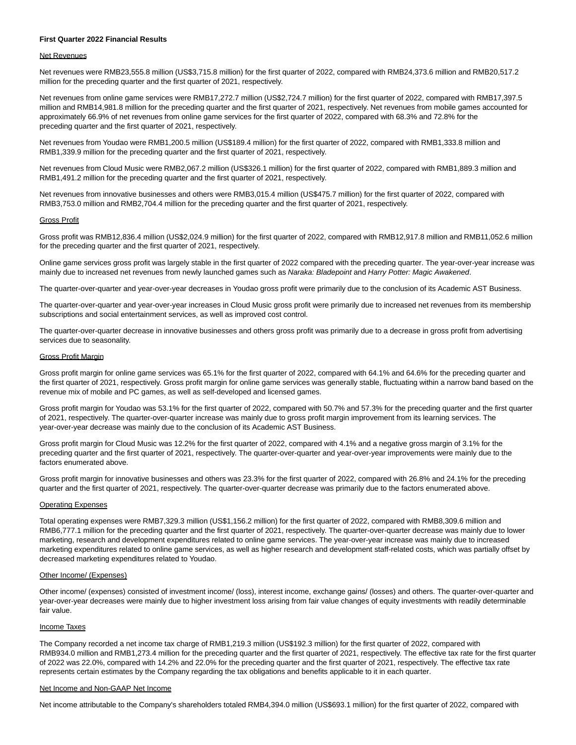### **First Quarter 2022 Financial Results**

#### Net Revenues

Net revenues were RMB23,555.8 million (US\$3,715.8 million) for the first quarter of 2022, compared with RMB24,373.6 million and RMB20,517.2 million for the preceding quarter and the first quarter of 2021, respectively.

Net revenues from online game services were RMB17,272.7 million (US\$2,724.7 million) for the first quarter of 2022, compared with RMB17,397.5 million and RMB14,981.8 million for the preceding quarter and the first quarter of 2021, respectively. Net revenues from mobile games accounted for approximately 66.9% of net revenues from online game services for the first quarter of 2022, compared with 68.3% and 72.8% for the preceding quarter and the first quarter of 2021, respectively.

Net revenues from Youdao were RMB1,200.5 million (US\$189.4 million) for the first quarter of 2022, compared with RMB1,333.8 million and RMB1,339.9 million for the preceding quarter and the first quarter of 2021, respectively.

Net revenues from Cloud Music were RMB2,067.2 million (US\$326.1 million) for the first quarter of 2022, compared with RMB1,889.3 million and RMB1,491.2 million for the preceding quarter and the first quarter of 2021, respectively.

Net revenues from innovative businesses and others were RMB3,015.4 million (US\$475.7 million) for the first quarter of 2022, compared with RMB3,753.0 million and RMB2,704.4 million for the preceding quarter and the first quarter of 2021, respectively.

#### Gross Profit

Gross profit was RMB12,836.4 million (US\$2,024.9 million) for the first quarter of 2022, compared with RMB12,917.8 million and RMB11,052.6 million for the preceding quarter and the first quarter of 2021, respectively.

Online game services gross profit was largely stable in the first quarter of 2022 compared with the preceding quarter. The year-over-year increase was mainly due to increased net revenues from newly launched games such as Naraka: Bladepoint and Harry Potter: Magic Awakened.

The quarter-over-quarter and year-over-year decreases in Youdao gross profit were primarily due to the conclusion of its Academic AST Business.

The quarter-over-quarter and year-over-year increases in Cloud Music gross profit were primarily due to increased net revenues from its membership subscriptions and social entertainment services, as well as improved cost control.

The quarter-over-quarter decrease in innovative businesses and others gross profit was primarily due to a decrease in gross profit from advertising services due to seasonality.

### Gross Profit Margin

Gross profit margin for online game services was 65.1% for the first quarter of 2022, compared with 64.1% and 64.6% for the preceding quarter and the first quarter of 2021, respectively. Gross profit margin for online game services was generally stable, fluctuating within a narrow band based on the revenue mix of mobile and PC games, as well as self-developed and licensed games.

Gross profit margin for Youdao was 53.1% for the first quarter of 2022, compared with 50.7% and 57.3% for the preceding quarter and the first quarter of 2021, respectively. The quarter-over-quarter increase was mainly due to gross profit margin improvement from its learning services. The year-over-year decrease was mainly due to the conclusion of its Academic AST Business.

Gross profit margin for Cloud Music was 12.2% for the first quarter of 2022, compared with 4.1% and a negative gross margin of 3.1% for the preceding quarter and the first quarter of 2021, respectively. The quarter-over-quarter and year-over-year improvements were mainly due to the factors enumerated above.

Gross profit margin for innovative businesses and others was 23.3% for the first quarter of 2022, compared with 26.8% and 24.1% for the preceding quarter and the first quarter of 2021, respectively. The quarter-over-quarter decrease was primarily due to the factors enumerated above.

#### Operating Expenses

Total operating expenses were RMB7,329.3 million (US\$1,156.2 million) for the first quarter of 2022, compared with RMB8,309.6 million and RMB6,777.1 million for the preceding quarter and the first quarter of 2021, respectively. The quarter-over-quarter decrease was mainly due to lower marketing, research and development expenditures related to online game services. The year-over-year increase was mainly due to increased marketing expenditures related to online game services, as well as higher research and development staff-related costs, which was partially offset by decreased marketing expenditures related to Youdao.

#### Other Income/ (Expenses)

Other income/ (expenses) consisted of investment income/ (loss), interest income, exchange gains/ (losses) and others. The quarter-over-quarter and year-over-year decreases were mainly due to higher investment loss arising from fair value changes of equity investments with readily determinable fair value.

#### Income Taxes

The Company recorded a net income tax charge of RMB1,219.3 million (US\$192.3 million) for the first quarter of 2022, compared with RMB934.0 million and RMB1,273.4 million for the preceding quarter and the first quarter of 2021, respectively. The effective tax rate for the first quarter of 2022 was 22.0%, compared with 14.2% and 22.0% for the preceding quarter and the first quarter of 2021, respectively. The effective tax rate represents certain estimates by the Company regarding the tax obligations and benefits applicable to it in each quarter.

#### Net Income and Non-GAAP Net Income

Net income attributable to the Company's shareholders totaled RMB4,394.0 million (US\$693.1 million) for the first quarter of 2022, compared with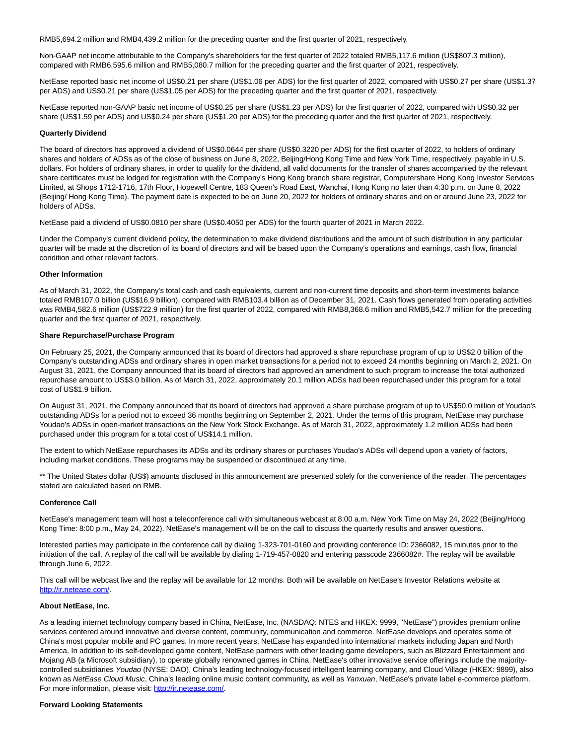RMB5,694.2 million and RMB4,439.2 million for the preceding quarter and the first quarter of 2021, respectively.

Non-GAAP net income attributable to the Company's shareholders for the first quarter of 2022 totaled RMB5,117.6 million (US\$807.3 million), compared with RMB6,595.6 million and RMB5,080.7 million for the preceding quarter and the first quarter of 2021, respectively.

NetEase reported basic net income of US\$0.21 per share (US\$1.06 per ADS) for the first quarter of 2022, compared with US\$0.27 per share (US\$1.37 per ADS) and US\$0.21 per share (US\$1.05 per ADS) for the preceding quarter and the first quarter of 2021, respectively.

NetEase reported non-GAAP basic net income of US\$0.25 per share (US\$1.23 per ADS) for the first quarter of 2022, compared with US\$0.32 per share (US\$1.59 per ADS) and US\$0.24 per share (US\$1.20 per ADS) for the preceding quarter and the first quarter of 2021, respectively.

### **Quarterly Dividend**

The board of directors has approved a dividend of US\$0.0644 per share (US\$0.3220 per ADS) for the first quarter of 2022, to holders of ordinary shares and holders of ADSs as of the close of business on June 8, 2022, Beijing/Hong Kong Time and New York Time, respectively, payable in U.S. dollars. For holders of ordinary shares, in order to qualify for the dividend, all valid documents for the transfer of shares accompanied by the relevant share certificates must be lodged for registration with the Company's Hong Kong branch share registrar, Computershare Hong Kong Investor Services Limited, at Shops 1712-1716, 17th Floor, Hopewell Centre, 183 Queen's Road East, Wanchai, Hong Kong no later than 4:30 p.m. on June 8, 2022 (Beijing/ Hong Kong Time). The payment date is expected to be on June 20, 2022 for holders of ordinary shares and on or around June 23, 2022 for holders of ADSs.

NetEase paid a dividend of US\$0.0810 per share (US\$0.4050 per ADS) for the fourth quarter of 2021 in March 2022.

Under the Company's current dividend policy, the determination to make dividend distributions and the amount of such distribution in any particular quarter will be made at the discretion of its board of directors and will be based upon the Company's operations and earnings, cash flow, financial condition and other relevant factors.

### **Other Information**

As of March 31, 2022, the Company's total cash and cash equivalents, current and non-current time deposits and short-term investments balance totaled RMB107.0 billion (US\$16.9 billion), compared with RMB103.4 billion as of December 31, 2021. Cash flows generated from operating activities was RMB4,582.6 million (US\$722.9 million) for the first quarter of 2022, compared with RMB8,368.6 million and RMB5,542.7 million for the preceding quarter and the first quarter of 2021, respectively.

### **Share Repurchase/Purchase Program**

On February 25, 2021, the Company announced that its board of directors had approved a share repurchase program of up to US\$2.0 billion of the Company's outstanding ADSs and ordinary shares in open market transactions for a period not to exceed 24 months beginning on March 2, 2021. On August 31, 2021, the Company announced that its board of directors had approved an amendment to such program to increase the total authorized repurchase amount to US\$3.0 billion. As of March 31, 2022, approximately 20.1 million ADSs had been repurchased under this program for a total cost of US\$1.9 billion.

On August 31, 2021, the Company announced that its board of directors had approved a share purchase program of up to US\$50.0 million of Youdao's outstanding ADSs for a period not to exceed 36 months beginning on September 2, 2021. Under the terms of this program, NetEase may purchase Youdao's ADSs in open-market transactions on the New York Stock Exchange. As of March 31, 2022, approximately 1.2 million ADSs had been purchased under this program for a total cost of US\$14.1 million.

The extent to which NetEase repurchases its ADSs and its ordinary shares or purchases Youdao's ADSs will depend upon a variety of factors, including market conditions. These programs may be suspended or discontinued at any time.

\*\* The United States dollar (US\$) amounts disclosed in this announcement are presented solely for the convenience of the reader. The percentages stated are calculated based on RMB.

### **Conference Call**

NetEase's management team will host a teleconference call with simultaneous webcast at 8:00 a.m. New York Time on May 24, 2022 (Beijing/Hong Kong Time: 8:00 p.m., May 24, 2022). NetEase's management will be on the call to discuss the quarterly results and answer questions.

Interested parties may participate in the conference call by dialing 1-323-701-0160 and providing conference ID: 2366082, 15 minutes prior to the initiation of the call. A replay of the call will be available by dialing 1-719-457-0820 and entering passcode 2366082#. The replay will be available through June 6, 2022.

This call will be webcast live and the replay will be available for 12 months. Both will be available on NetEase's Investor Relations website at [http://ir.netease.com/.](http://ir.netease.com/)

#### **About NetEase, Inc.**

As a leading internet technology company based in China, NetEase, Inc. (NASDAQ: NTES and HKEX: 9999, "NetEase") provides premium online services centered around innovative and diverse content, community, communication and commerce. NetEase develops and operates some of China's most popular mobile and PC games. In more recent years, NetEase has expanded into international markets including Japan and North America. In addition to its self-developed game content, NetEase partners with other leading game developers, such as Blizzard Entertainment and Mojang AB (a Microsoft subsidiary), to operate globally renowned games in China. NetEase's other innovative service offerings include the majoritycontrolled subsidiaries Youdao (NYSE: DAO), China's leading technology-focused intelligent learning company, and Cloud Village (HKEX: 9899), also known as NetEase Cloud Music, China's leading online music content community, as well as Yanxuan, NetEase's private label e-commerce platform. For more information, please visit: [http://ir.netease.com/.](http://ir.netease.com/) 

#### **Forward Looking Statements**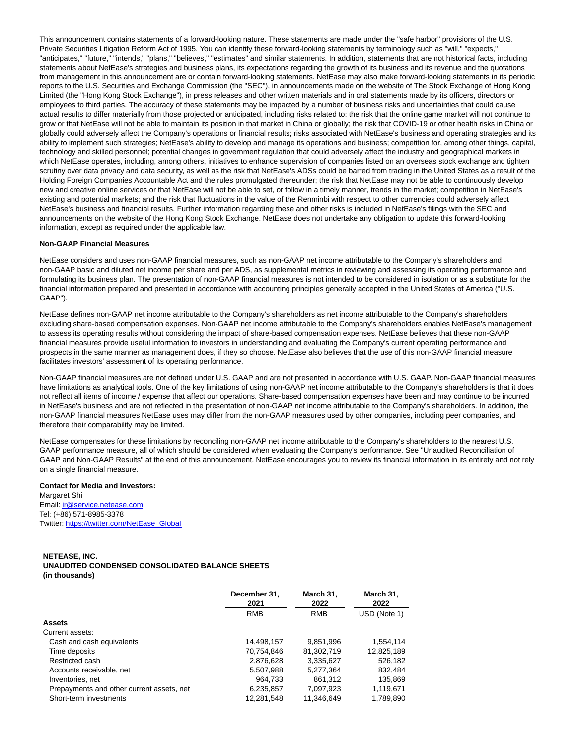This announcement contains statements of a forward-looking nature. These statements are made under the "safe harbor" provisions of the U.S. Private Securities Litigation Reform Act of 1995. You can identify these forward-looking statements by terminology such as "will," "expects," "anticipates," "future," "intends," "plans," "believes," "estimates" and similar statements. In addition, statements that are not historical facts, including statements about NetEase's strategies and business plans, its expectations regarding the growth of its business and its revenue and the quotations from management in this announcement are or contain forward-looking statements. NetEase may also make forward-looking statements in its periodic reports to the U.S. Securities and Exchange Commission (the "SEC"), in announcements made on the website of The Stock Exchange of Hong Kong Limited (the "Hong Kong Stock Exchange"), in press releases and other written materials and in oral statements made by its officers, directors or employees to third parties. The accuracy of these statements may be impacted by a number of business risks and uncertainties that could cause actual results to differ materially from those projected or anticipated, including risks related to: the risk that the online game market will not continue to grow or that NetEase will not be able to maintain its position in that market in China or globally; the risk that COVID-19 or other health risks in China or globally could adversely affect the Company's operations or financial results; risks associated with NetEase's business and operating strategies and its ability to implement such strategies; NetEase's ability to develop and manage its operations and business; competition for, among other things, capital, technology and skilled personnel; potential changes in government regulation that could adversely affect the industry and geographical markets in which NetEase operates, including, among others, initiatives to enhance supervision of companies listed on an overseas stock exchange and tighten scrutiny over data privacy and data security, as well as the risk that NetEase's ADSs could be barred from trading in the United States as a result of the Holding Foreign Companies Accountable Act and the rules promulgated thereunder; the risk that NetEase may not be able to continuously develop new and creative online services or that NetEase will not be able to set, or follow in a timely manner, trends in the market; competition in NetEase's existing and potential markets; and the risk that fluctuations in the value of the Renminbi with respect to other currencies could adversely affect NetEase's business and financial results. Further information regarding these and other risks is included in NetEase's filings with the SEC and announcements on the website of the Hong Kong Stock Exchange. NetEase does not undertake any obligation to update this forward-looking information, except as required under the applicable law.

### **Non-GAAP Financial Measures**

NetEase considers and uses non-GAAP financial measures, such as non-GAAP net income attributable to the Company's shareholders and non-GAAP basic and diluted net income per share and per ADS, as supplemental metrics in reviewing and assessing its operating performance and formulating its business plan. The presentation of non-GAAP financial measures is not intended to be considered in isolation or as a substitute for the financial information prepared and presented in accordance with accounting principles generally accepted in the United States of America ("U.S. GAAP").

NetEase defines non-GAAP net income attributable to the Company's shareholders as net income attributable to the Company's shareholders excluding share-based compensation expenses. Non-GAAP net income attributable to the Company's shareholders enables NetEase's management to assess its operating results without considering the impact of share-based compensation expenses. NetEase believes that these non-GAAP financial measures provide useful information to investors in understanding and evaluating the Company's current operating performance and prospects in the same manner as management does, if they so choose. NetEase also believes that the use of this non-GAAP financial measure facilitates investors' assessment of its operating performance.

Non-GAAP financial measures are not defined under U.S. GAAP and are not presented in accordance with U.S. GAAP. Non-GAAP financial measures have limitations as analytical tools. One of the key limitations of using non-GAAP net income attributable to the Company's shareholders is that it does not reflect all items of income / expense that affect our operations. Share-based compensation expenses have been and may continue to be incurred in NetEase's business and are not reflected in the presentation of non-GAAP net income attributable to the Company's shareholders. In addition, the non-GAAP financial measures NetEase uses may differ from the non-GAAP measures used by other companies, including peer companies, and therefore their comparability may be limited.

NetEase compensates for these limitations by reconciling non-GAAP net income attributable to the Company's shareholders to the nearest U.S. GAAP performance measure, all of which should be considered when evaluating the Company's performance. See "Unaudited Reconciliation of GAAP and Non-GAAP Results" at the end of this announcement. NetEase encourages you to review its financial information in its entirety and not rely on a single financial measure.

#### **Contact for Media and Investors:**

Margaret Shi Email[: ir@service.netease.com](mailto:ir@service.netease.com) Tel: (+86) 571-8985-3378 Twitter: [https://twitter.com/NetEase\\_Global](https://twitter.com/NetEase_Global)

### **NETEASE, INC. UNAUDITED CONDENSED CONSOLIDATED BALANCE SHEETS (in thousands)**

|                                           | December 31,<br>March 31,<br>2021<br>2022 |            | March 31,<br>2022 |
|-------------------------------------------|-------------------------------------------|------------|-------------------|
|                                           | <b>RMB</b>                                | <b>RMB</b> | USD (Note 1)      |
| <b>Assets</b>                             |                                           |            |                   |
| Current assets:                           |                                           |            |                   |
| Cash and cash equivalents                 | 14,498,157                                | 9,851,996  | 1,554,114         |
| Time deposits                             | 70,754,846                                | 81,302,719 | 12,825,189        |
| Restricted cash                           | 2,876,628                                 | 3,335,627  | 526,182           |
| Accounts receivable, net                  | 5,507,988                                 | 5,277,364  | 832,484           |
| Inventories, net                          | 964.733                                   | 861,312    | 135,869           |
| Prepayments and other current assets, net | 6,235,857                                 | 7,097,923  | 1,119,671         |
| Short-term investments                    | 12.281.548                                | 11,346,649 | 1,789,890         |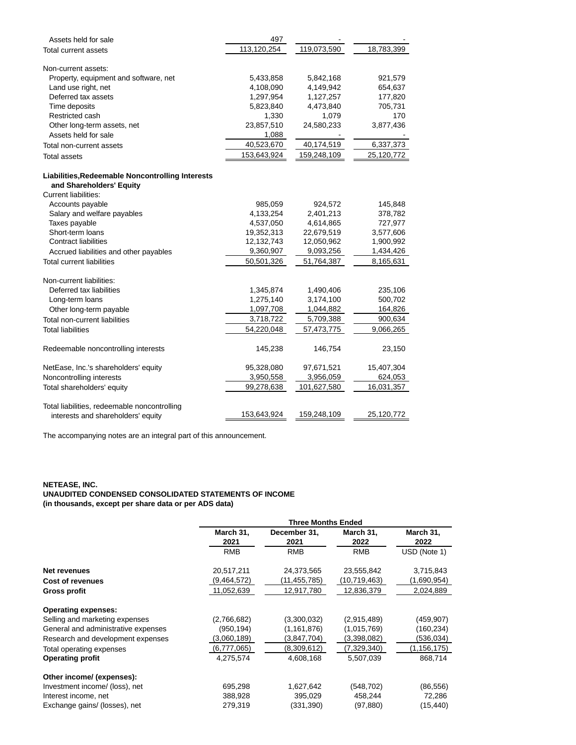| Assets held for sale                             | 497         |             |            |
|--------------------------------------------------|-------------|-------------|------------|
| Total current assets                             | 113,120,254 | 119,073,590 | 18,783,399 |
|                                                  |             |             |            |
| Non-current assets:                              |             |             |            |
| Property, equipment and software, net            | 5,433,858   | 5,842,168   | 921,579    |
| Land use right, net                              | 4,108,090   | 4,149,942   | 654,637    |
| Deferred tax assets                              | 1,297,954   | 1,127,257   | 177,820    |
| Time deposits                                    | 5,823,840   | 4,473,840   | 705,731    |
| Restricted cash                                  | 1,330       | 1,079       | 170        |
| Other long-term assets, net                      | 23,857,510  | 24,580,233  | 3,877,436  |
| Assets held for sale                             | 1,088       |             |            |
| Total non-current assets                         | 40,523,670  | 40,174,519  | 6,337,373  |
| <b>Total assets</b>                              | 153,643,924 | 159,248,109 | 25,120,772 |
| Liabilities, Redeemable Noncontrolling Interests |             |             |            |
| and Shareholders' Equity                         |             |             |            |
| <b>Current liabilities:</b>                      |             |             |            |
| Accounts payable                                 | 985,059     | 924,572     | 145,848    |
| Salary and welfare payables                      | 4,133,254   | 2,401,213   | 378,782    |
| Taxes payable                                    | 4,537,050   | 4,614,865   | 727,977    |
| Short-term loans                                 | 19,352,313  | 22,679,519  | 3,577,606  |
| <b>Contract liabilities</b>                      | 12,132,743  | 12,050,962  | 1,900,992  |
| Accrued liabilities and other payables           | 9,360,907   | 9,093,256   | 1,434,426  |
| <b>Total current liabilities</b>                 | 50,501,326  | 51,764,387  | 8,165,631  |
|                                                  |             |             |            |
| Non-current liabilities:                         |             |             |            |
| Deferred tax liabilities                         | 1,345,874   | 1,490,406   | 235,106    |
| Long-term loans                                  | 1,275,140   | 3,174,100   | 500,702    |
| Other long-term payable                          | 1,097,708   | 1,044,882   | 164,826    |
| Total non-current liabilities                    | 3,718,722   | 5,709,388   | 900,634    |
| <b>Total liabilities</b>                         | 54,220,048  | 57,473,775  | 9,066,265  |
|                                                  |             |             |            |
| Redeemable noncontrolling interests              | 145,238     | 146,754     | 23,150     |
| NetEase, Inc.'s shareholders' equity             | 95,328,080  | 97,671,521  | 15,407,304 |
| Noncontrolling interests                         | 3,950,558   | 3,956,059   | 624,053    |
| Total shareholders' equity                       | 99,278,638  | 101,627,580 | 16,031,357 |
|                                                  |             |             |            |
| Total liabilities, redeemable noncontrolling     |             |             |            |
| interests and shareholders' equity               | 153,643,924 | 159,248,109 | 25,120,772 |

The accompanying notes are an integral part of this announcement.

# **NETEASE, INC. UNAUDITED CONDENSED CONSOLIDATED STATEMENTS OF INCOME (in thousands, except per share data or per ADS data)**

|                                     | <b>Three Months Ended</b> |                      |                   |                   |  |  |
|-------------------------------------|---------------------------|----------------------|-------------------|-------------------|--|--|
|                                     | March 31,<br>2021         | December 31,<br>2021 | March 31,<br>2022 | March 31,<br>2022 |  |  |
|                                     | <b>RMB</b>                | <b>RMB</b>           | <b>RMB</b>        | USD (Note 1)      |  |  |
| Net revenues                        | 20,517,211                | 24,373,565           | 23,555,842        | 3,715,843         |  |  |
| Cost of revenues                    | (9,464,572)               | (11,455,785)         | (10, 719, 463)    | (1,690,954)       |  |  |
| <b>Gross profit</b>                 | 11,052,639                | 12,917,780           | 12,836,379        | 2,024,889         |  |  |
| <b>Operating expenses:</b>          |                           |                      |                   |                   |  |  |
| Selling and marketing expenses      | (2,766,682)               | (3,300,032)          | (2,915,489)       | (459, 907)        |  |  |
| General and administrative expenses | (950,194)                 | (1, 161, 876)        | (1,015,769)       | (160,234)         |  |  |
| Research and development expenses   | (3,060,189)               | (3,847,704)          | (3,398,082)       | (536,034)         |  |  |
| Total operating expenses            | (6,777,065)               | (8,309,612)          | (7,329,340)       | (1,156,175)       |  |  |
| <b>Operating profit</b>             | 4,275,574                 | 4,608,168            | 5,507,039         | 868,714           |  |  |
| Other income/ (expenses):           |                           |                      |                   |                   |  |  |
| Investment income/ (loss), net      | 695,298                   | 1,627,642            | (548, 702)        | (86, 556)         |  |  |
| Interest income, net                | 388,928                   | 395,029              | 458,244           | 72,286            |  |  |
| Exchange gains/ (losses), net       | 279,319                   | (331,390)            | (97, 880)         | (15, 440)         |  |  |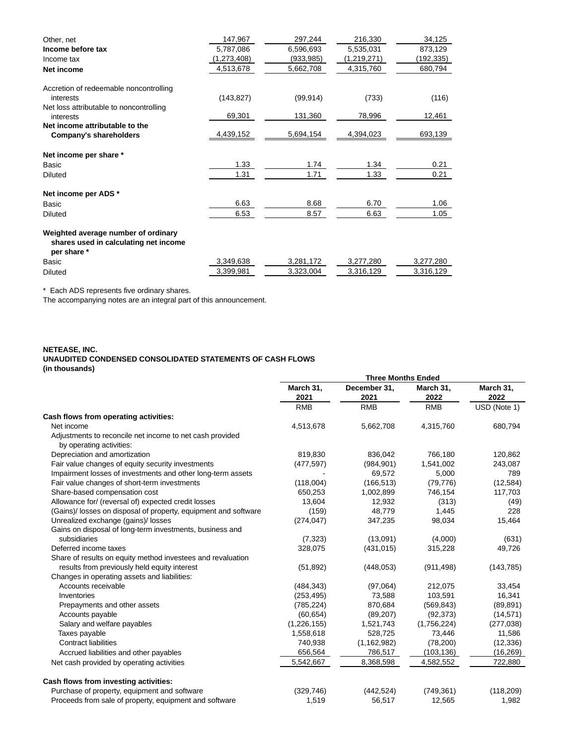| Other, net<br>Income before tax<br>Income tax<br>Net income                                 | 147.967<br>5,787,086<br>(1,273,408)<br>4,513,678 | 297,244<br>6,596,693<br>(933,985)<br>5,662,708 | 216,330<br>5,535,031<br>(1,219,271)<br>4,315,760 | 34,125<br>873,129<br>(192,335)<br>680,794 |
|---------------------------------------------------------------------------------------------|--------------------------------------------------|------------------------------------------------|--------------------------------------------------|-------------------------------------------|
| Accretion of redeemable noncontrolling<br>interests                                         | (143, 827)                                       | (99, 914)                                      | (733)                                            | (116)                                     |
| Net loss attributable to noncontrolling<br>interests                                        | 69,301                                           | 131,360                                        | 78,996                                           | 12,461                                    |
| Net income attributable to the<br>Company's shareholders                                    | 4,439,152                                        | 5,694,154                                      | 4,394,023                                        | 693,139                                   |
| Net income per share *                                                                      |                                                  |                                                |                                                  |                                           |
| Basic                                                                                       | 1.33                                             | 1.74                                           | 1.34                                             | 0.21                                      |
| <b>Diluted</b>                                                                              | 1.31                                             | 1.71                                           | 1.33                                             | 0.21                                      |
| Net income per ADS*                                                                         |                                                  |                                                |                                                  |                                           |
| Basic                                                                                       | 6.63                                             | 8.68                                           | 6.70                                             | 1.06                                      |
| <b>Diluted</b>                                                                              | 6.53                                             | 8.57                                           | 6.63                                             | 1.05                                      |
| Weighted average number of ordinary<br>shares used in calculating net income<br>per share * |                                                  |                                                |                                                  |                                           |
| <b>Basic</b>                                                                                | 3,349,638                                        | 3,281,172                                      | 3,277,280                                        | 3,277,280                                 |
| <b>Diluted</b>                                                                              | 3,399,981                                        | 3,323,004                                      | 3,316,129                                        | 3,316,129                                 |

\* Each ADS represents five ordinary shares.

The accompanying notes are an integral part of this announcement.

# **NETEASE, INC. UNAUDITED CONDENSED CONSOLIDATED STATEMENTS OF CASH FLOWS (in thousands)**

|                                                                                      |                   | <b>Three Months Ended</b> |                   |                   |
|--------------------------------------------------------------------------------------|-------------------|---------------------------|-------------------|-------------------|
|                                                                                      | March 31,<br>2021 | December 31,<br>2021      | March 31,<br>2022 | March 31,<br>2022 |
|                                                                                      | <b>RMB</b>        | <b>RMB</b>                | <b>RMB</b>        | USD (Note 1)      |
| Cash flows from operating activities:                                                |                   |                           |                   |                   |
| Net income                                                                           | 4,513,678         | 5,662,708                 | 4,315,760         | 680,794           |
| Adjustments to reconcile net income to net cash provided<br>by operating activities: |                   |                           |                   |                   |
| Depreciation and amortization                                                        | 819,830           | 836,042                   | 766,180           | 120,862           |
| Fair value changes of equity security investments                                    | (477, 597)        | (984, 901)                | 1,541,002         | 243,087           |
| Impairment losses of investments and other long-term assets                          |                   | 69,572                    | 5,000             | 789               |
| Fair value changes of short-term investments                                         | (118,004)         | (166, 513)                | (79, 776)         | (12, 584)         |
| Share-based compensation cost                                                        | 650,253           | 1,002,899                 | 746,154           | 117,703           |
| Allowance for/ (reversal of) expected credit losses                                  | 13,604            | 12,932                    | (313)             | (49)              |
| (Gains)/ losses on disposal of property, equipment and software                      | (159)             | 48,779                    | 1,445             | 228               |
| Unrealized exchange (gains)/ losses                                                  | (274, 047)        | 347,235                   | 98,034            | 15,464            |
| Gains on disposal of long-term investments, business and                             |                   |                           |                   |                   |
| subsidiaries                                                                         | (7, 323)          | (13,091)                  | (4,000)           | (631)             |
| Deferred income taxes                                                                | 328,075           | (431, 015)                | 315,228           | 49,726            |
| Share of results on equity method investees and revaluation                          |                   |                           |                   |                   |
| results from previously held equity interest                                         | (51, 892)         | (448, 053)                | (911, 498)        | (143, 785)        |
| Changes in operating assets and liabilities:                                         |                   |                           |                   |                   |
| Accounts receivable                                                                  | (484, 343)        | (97,064)                  | 212,075           | 33,454            |
| Inventories                                                                          | (253, 495)        | 73,588                    | 103,591           | 16,341            |
| Prepayments and other assets                                                         | (785, 224)        | 870,684                   | (569, 843)        | (89, 891)         |
| Accounts payable                                                                     | (60, 654)         | (89, 207)                 | (92, 373)         | (14, 571)         |
| Salary and welfare payables                                                          | (1,226,155)       | 1,521,743                 | (1,756,224)       | (277, 038)        |
| Taxes payable                                                                        | 1,558,618         | 528,725                   | 73,446            | 11,586            |
| <b>Contract liabilities</b>                                                          | 740,938           | (1, 162, 982)             | (78, 200)         | (12, 336)         |
| Accrued liabilities and other payables                                               | 656,564           | 786,517                   | (103, 136)        | (16, 269)         |
| Net cash provided by operating activities                                            | 5,542,667         | 8,368,598                 | 4,582,552         | 722,880           |
| Cash flows from investing activities:                                                |                   |                           |                   |                   |
| Purchase of property, equipment and software                                         | (329, 746)        | (442, 524)                | (749, 361)        | (118, 209)        |
| Proceeds from sale of property, equipment and software                               | 1,519             | 56,517                    | 12,565            | 1,982             |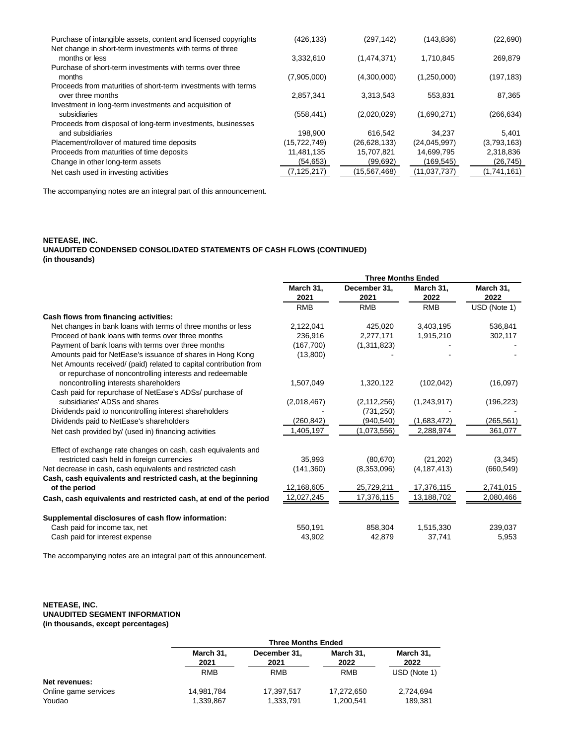| Purchase of intangible assets, content and licensed copyrights                     | (426, 133)     | (297,142)      | (143, 836)     | (22, 690)   |
|------------------------------------------------------------------------------------|----------------|----------------|----------------|-------------|
| Net change in short-term investments with terms of three<br>months or less         | 3,332,610      | (1,474,371)    | 1,710,845      | 269,879     |
| Purchase of short-term investments with terms over three<br>months                 | (7,905,000)    | (4,300,000)    | (1,250,000)    | (197, 183)  |
| Proceeds from maturities of short-term investments with terms<br>over three months | 2.857.341      | 3.313.543      | 553.831        | 87.365      |
| Investment in long-term investments and acquisition of                             |                |                |                |             |
| subsidiaries<br>Proceeds from disposal of long-term investments, businesses        | (558, 441)     | (2,020,029)    | (1,690,271)    | (266, 634)  |
| and subsidiaries                                                                   | 198.900        | 616.542        | 34.237         | 5,401       |
| Placement/rollover of matured time deposits                                        | (15, 722, 749) | (26, 628, 133) | (24,045,997)   | (3,793,163) |
| Proceeds from maturities of time deposits                                          | 11,481,135     | 15,707,821     | 14,699,795     | 2,318,836   |
| Change in other long-term assets                                                   | (54, 653)      | (99, 692)      | (169, 545)     | (26, 745)   |
| Net cash used in investing activities                                              | (7, 125, 217)  | (15, 567, 468) | (11, 037, 737) | (1,741,161) |

The accompanying notes are an integral part of this announcement.

### **NETEASE, INC. UNAUDITED CONDENSED CONSOLIDATED STATEMENTS OF CASH FLOWS (CONTINUED) (in thousands)**

|                                                                                                                               | <b>Three Months Ended</b> |                      |                   |                   |
|-------------------------------------------------------------------------------------------------------------------------------|---------------------------|----------------------|-------------------|-------------------|
|                                                                                                                               | March 31,<br>2021         | December 31,<br>2021 | March 31,<br>2022 | March 31,<br>2022 |
|                                                                                                                               | <b>RMB</b>                | <b>RMB</b>           | <b>RMB</b>        | USD (Note 1)      |
| Cash flows from financing activities:                                                                                         |                           |                      |                   |                   |
| Net changes in bank loans with terms of three months or less                                                                  | 2,122,041                 | 425,020              | 3,403,195         | 536,841           |
| Proceed of bank loans with terms over three months                                                                            | 236,916                   | 2,277,171            | 1,915,210         | 302,117           |
| Payment of bank loans with terms over three months                                                                            | (167, 700)                | (1,311,823)          |                   |                   |
| Amounts paid for NetEase's issuance of shares in Hong Kong                                                                    | (13,800)                  |                      |                   |                   |
| Net Amounts received/ (paid) related to capital contribution from<br>or repurchase of noncontrolling interests and redeemable |                           |                      |                   |                   |
| noncontrolling interests shareholders                                                                                         | 1,507,049                 | 1,320,122            | (102, 042)        | (16,097)          |
| Cash paid for repurchase of NetEase's ADSs/ purchase of                                                                       |                           |                      |                   |                   |
| subsidiaries' ADSs and shares                                                                                                 | (2,018,467)               | (2, 112, 256)        | (1,243,917)       | (196, 223)        |
| Dividends paid to noncontrolling interest shareholders                                                                        |                           | (731, 250)           |                   |                   |
| Dividends paid to NetEase's shareholders                                                                                      | (260,842)                 | (940,540)            | (1,683,472)       | (265, 561)        |
| Net cash provided by/ (used in) financing activities                                                                          | 1,405,197                 | (1,073,556)          | 2,288,974         | 361,077           |
| Effect of exchange rate changes on cash, cash equivalents and                                                                 |                           |                      |                   |                   |
| restricted cash held in foreign currencies                                                                                    | 35.993                    | (80, 670)            | (21, 202)         | (3,345)           |
| Net decrease in cash, cash equivalents and restricted cash                                                                    | (141, 360)                | (8,353,096)          | (4, 187, 413)     | (660, 549)        |
| Cash, cash equivalents and restricted cash, at the beginning                                                                  |                           |                      |                   |                   |
| of the period                                                                                                                 | 12,168,605                | 25,729,211           | 17,376,115        | 2,741,015         |
| Cash, cash equivalents and restricted cash, at end of the period                                                              | 12,027,245                | 17,376,115           | 13,188,702        | 2,080,466         |
| Supplemental disclosures of cash flow information:                                                                            |                           |                      |                   |                   |
| Cash paid for income tax, net                                                                                                 | 550,191                   | 858,304              | 1,515,330         | 239,037           |
| Cash paid for interest expense                                                                                                | 43,902                    | 42,879               | 37,741            | 5,953             |

The accompanying notes are an integral part of this announcement.

# **NETEASE, INC. UNAUDITED SEGMENT INFORMATION (in thousands, except percentages)**

|                      |                   | <b>Three Months Ended</b> |                   |                   |  |  |
|----------------------|-------------------|---------------------------|-------------------|-------------------|--|--|
|                      | March 31,<br>2021 | December 31,<br>2021      | March 31,<br>2022 | March 31,<br>2022 |  |  |
|                      | <b>RMB</b>        | RMB                       | RMB               | USD (Note 1)      |  |  |
| Net revenues:        |                   |                           |                   |                   |  |  |
| Online game services | 14.981.784        | 17,397,517                | 17,272,650        | 2,724,694         |  |  |
| Youdao               | 1,339,867         | 1,333,791                 | 1,200,541         | 189.381           |  |  |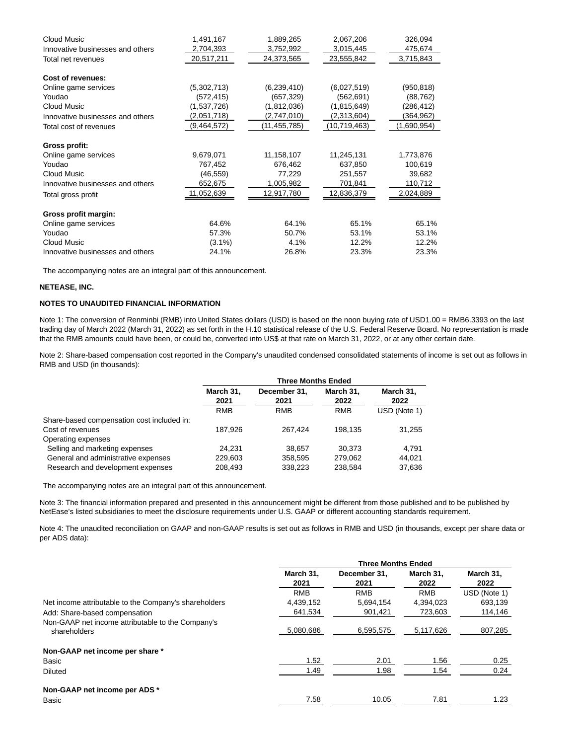| <b>Cloud Music</b>               | 1,491,167   | 1,889,265    | 2,067,206    | 326,094     |
|----------------------------------|-------------|--------------|--------------|-------------|
| Innovative businesses and others | 2,704,393   | 3,752,992    | 3,015,445    | 475,674     |
| Total net revenues               | 20,517,211  | 24,373,565   | 23,555,842   | 3,715,843   |
| Cost of revenues:                |             |              |              |             |
| Online game services             | (5,302,713) | (6,239,410)  | (6,027,519)  | (950,818)   |
| Youdao                           | (572, 415)  | (657, 329)   | (562, 691)   | (88, 762)   |
| <b>Cloud Music</b>               | (1,537,726) | (1,812,036)  | (1,815,649)  | (286,412)   |
| Innovative businesses and others | (2,051,718) | (2,747,010)  | (2,313,604)  | (364,962)   |
| Total cost of revenues           | (9,464,572) | (11,455,785) | (10,719,463) | (1,690,954) |
| Gross profit:                    |             |              |              |             |
| Online game services             | 9,679,071   | 11,158,107   | 11,245,131   | 1,773,876   |
| Youdao                           | 767,452     | 676,462      | 637,850      | 100,619     |
| <b>Cloud Music</b>               | (46, 559)   | 77,229       | 251,557      | 39,682      |
| Innovative businesses and others | 652,675     | 1,005,982    | 701,841      | 110,712     |
| Total gross profit               | 11,052,639  | 12,917,780   | 12,836,379   | 2,024,889   |
| Gross profit margin:             |             |              |              |             |
| Online game services             | 64.6%       | 64.1%        | 65.1%        | 65.1%       |
| Youdao                           | 57.3%       | 50.7%        | 53.1%        | 53.1%       |
| <b>Cloud Music</b>               | $(3.1\%)$   | 4.1%         | 12.2%        | 12.2%       |
| Innovative businesses and others | 24.1%       | 26.8%        | 23.3%        | 23.3%       |

The accompanying notes are an integral part of this announcement.

### **NETEASE, INC.**

### **NOTES TO UNAUDITED FINANCIAL INFORMATION**

Note 1: The conversion of Renminbi (RMB) into United States dollars (USD) is based on the noon buying rate of USD1.00 = RMB6.3393 on the last trading day of March 2022 (March 31, 2022) as set forth in the H.10 statistical release of the U.S. Federal Reserve Board. No representation is made that the RMB amounts could have been, or could be, converted into US\$ at that rate on March 31, 2022, or at any other certain date.

Note 2: Share-based compensation cost reported in the Company's unaudited condensed consolidated statements of income is set out as follows in RMB and USD (in thousands):

|                                            | <b>Three Months Ended</b> |                      |                   |                   |  |
|--------------------------------------------|---------------------------|----------------------|-------------------|-------------------|--|
|                                            | March 31,<br>2021         | December 31,<br>2021 | March 31,<br>2022 | March 31,<br>2022 |  |
|                                            | <b>RMB</b>                | <b>RMB</b>           | <b>RMB</b>        | USD (Note 1)      |  |
| Share-based compensation cost included in: |                           |                      |                   |                   |  |
| Cost of revenues                           | 187,926                   | 267.424              | 198.135           | 31,255            |  |
| Operating expenses                         |                           |                      |                   |                   |  |
| Selling and marketing expenses             | 24.231                    | 38.657               | 30.373            | 4.791             |  |
| General and administrative expenses        | 229,603                   | 358,595              | 279,062           | 44.021            |  |
| Research and development expenses          | 208.493                   | 338.223              | 238.584           | 37.636            |  |

The accompanying notes are an integral part of this announcement.

Note 3: The financial information prepared and presented in this announcement might be different from those published and to be published by NetEase's listed subsidiaries to meet the disclosure requirements under U.S. GAAP or different accounting standards requirement.

Note 4: The unaudited reconciliation on GAAP and non-GAAP results is set out as follows in RMB and USD (in thousands, except per share data or per ADS data):

|                                                                   | <b>Three Months Ended</b> |                      |                   |                   |
|-------------------------------------------------------------------|---------------------------|----------------------|-------------------|-------------------|
|                                                                   | March 31,<br>2021         | December 31,<br>2021 | March 31,<br>2022 | March 31,<br>2022 |
|                                                                   | <b>RMB</b>                | <b>RMB</b>           | <b>RMB</b>        | USD (Note 1)      |
| Net income attributable to the Company's shareholders             | 4,439,152                 | 5,694,154            | 4,394,023         | 693.139           |
| Add: Share-based compensation                                     | 641,534                   | 901,421              | 723,603           | 114,146           |
| Non-GAAP net income attributable to the Company's<br>shareholders | 5,080,686                 | 6,595,575            | 5,117,626         | 807,285           |
| Non-GAAP net income per share *                                   |                           |                      |                   |                   |
| Basic                                                             | 1.52                      | 2.01                 | 1.56              | 0.25              |
| Diluted                                                           | 1.49                      | 1.98                 | 1.54              | 0.24              |
| Non-GAAP net income per ADS *                                     |                           |                      |                   |                   |
| Basic                                                             | 7.58                      | 10.05                | 7.81              | 1.23              |